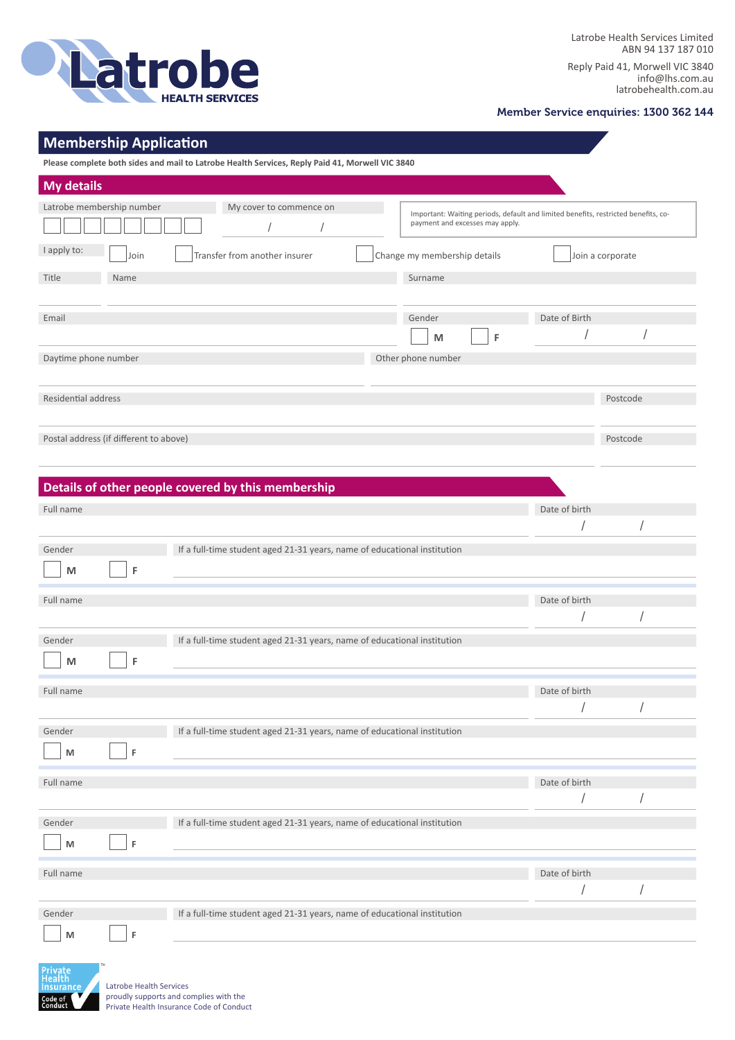

Reply Paid 41, Morwell VIC 3840 info@lhs.com.au latrobehealth.com.au

## Member Service enquiries: 1300 362 144

## **Membership Application**

**Please complete both sides and mail to Latrobe Health Services, Reply Paid 41, Morwell VIC 3840**

| <b>My details</b>                                    |                                                                                                                       |
|------------------------------------------------------|-----------------------------------------------------------------------------------------------------------------------|
| Latrobe membership number<br>My cover to commence on | Important: Waiting periods, default and limited benefits, restricted benefits, co-<br>payment and excesses may apply. |
| I apply to:<br>Transfer from another insurer<br>Join | Change my membership details<br>Join a corporate                                                                      |
| Title<br>Name                                        | Surname                                                                                                               |
| Email                                                | Gender<br>Date of Birth                                                                                               |
|                                                      | F<br>M                                                                                                                |
| Daytime phone number                                 | Other phone number                                                                                                    |
| Residential address                                  |                                                                                                                       |
|                                                      | Postcode                                                                                                              |
| Postal address (if different to above)               | Postcode                                                                                                              |

|           |   | Details of other people covered by this membership                       |               |  |
|-----------|---|--------------------------------------------------------------------------|---------------|--|
| Full name |   |                                                                          | Date of birth |  |
|           |   |                                                                          |               |  |
| Gender    |   | If a full-time student aged 21-31 years, name of educational institution |               |  |
| M         | F |                                                                          |               |  |
| Full name |   |                                                                          | Date of birth |  |
|           |   |                                                                          |               |  |
| Gender    |   | If a full-time student aged 21-31 years, name of educational institution |               |  |
| M         | F |                                                                          |               |  |
| Full name |   |                                                                          | Date of birth |  |
|           |   |                                                                          |               |  |
| Gender    |   | If a full-time student aged 21-31 years, name of educational institution |               |  |
| M         | F |                                                                          |               |  |
| Full name |   |                                                                          | Date of birth |  |
|           |   |                                                                          |               |  |
| Gender    |   | If a full-time student aged 21-31 years, name of educational institution |               |  |
| M         | F |                                                                          |               |  |
| Full name |   |                                                                          | Date of birth |  |
|           |   |                                                                          |               |  |
| Gender    |   | If a full-time student aged 21-31 years, name of educational institution |               |  |
| M         | F |                                                                          |               |  |